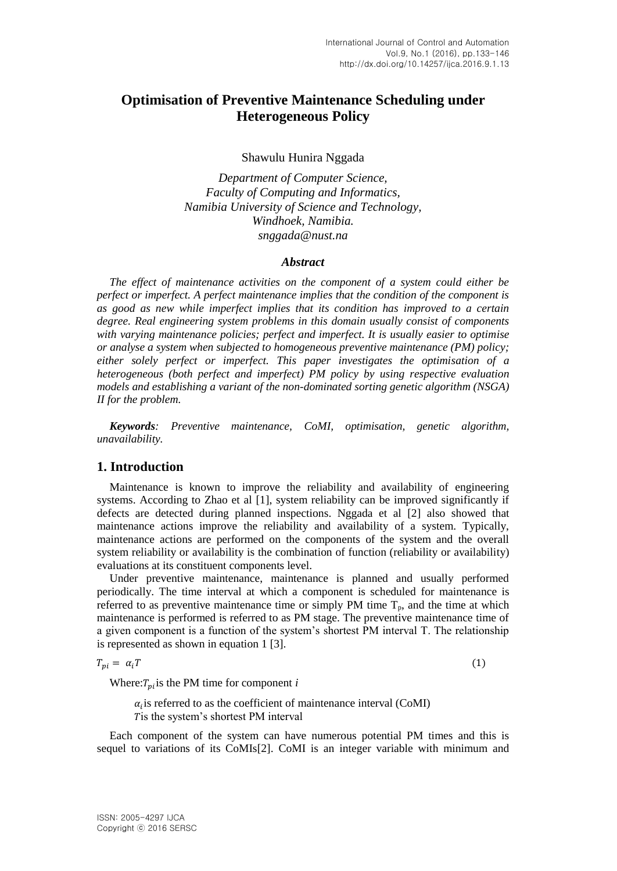# **Optimisation of Preventive Maintenance Scheduling under Heterogeneous Policy**

Shawulu Hunira Nggada

*Department of Computer Science, Faculty of Computing and Informatics, Namibia University of Science and Technology, Windhoek, Namibia. snggada@nust.na*

#### *Abstract*

*The effect of maintenance activities on the component of a system could either be perfect or imperfect. A perfect maintenance implies that the condition of the component is as good as new while imperfect implies that its condition has improved to a certain degree. Real engineering system problems in this domain usually consist of components with varying maintenance policies; perfect and imperfect. It is usually easier to optimise or analyse a system when subjected to homogeneous preventive maintenance (PM) policy; either solely perfect or imperfect. This paper investigates the optimisation of a heterogeneous (both perfect and imperfect) PM policy by using respective evaluation models and establishing a variant of the non-dominated sorting genetic algorithm (NSGA) II for the problem.*

*Keywords: Preventive maintenance, CoMI, optimisation, genetic algorithm, unavailability.*

### **1. Introduction**

Maintenance is known to improve the reliability and availability of engineering systems. According to Zhao et al [1], system reliability can be improved significantly if defects are detected during planned inspections. Nggada et al [2] also showed that maintenance actions improve the reliability and availability of a system. Typically, maintenance actions are performed on the components of the system and the overall system reliability or availability is the combination of function (reliability or availability) evaluations at its constituent components level.

Under preventive maintenance, maintenance is planned and usually performed periodically. The time interval at which a component is scheduled for maintenance is referred to as preventive maintenance time or simply PM time  $T_p$ , and the time at which maintenance is performed is referred to as PM stage. The preventive maintenance time of a given component is a function of the system's shortest PM interval T. The relationship is represented as shown in equation 1 [3].

$$
T_{pi} = \alpha_i T \tag{1}
$$

Where: $T_{pi}$  is the PM time for component *i* 

 $\alpha_i$  is referred to as the coefficient of maintenance interval (CoMI) T is the system's shortest PM interval

Each component of the system can have numerous potential PM times and this is sequel to variations of its CoMIs[2]. CoMI is an integer variable with minimum and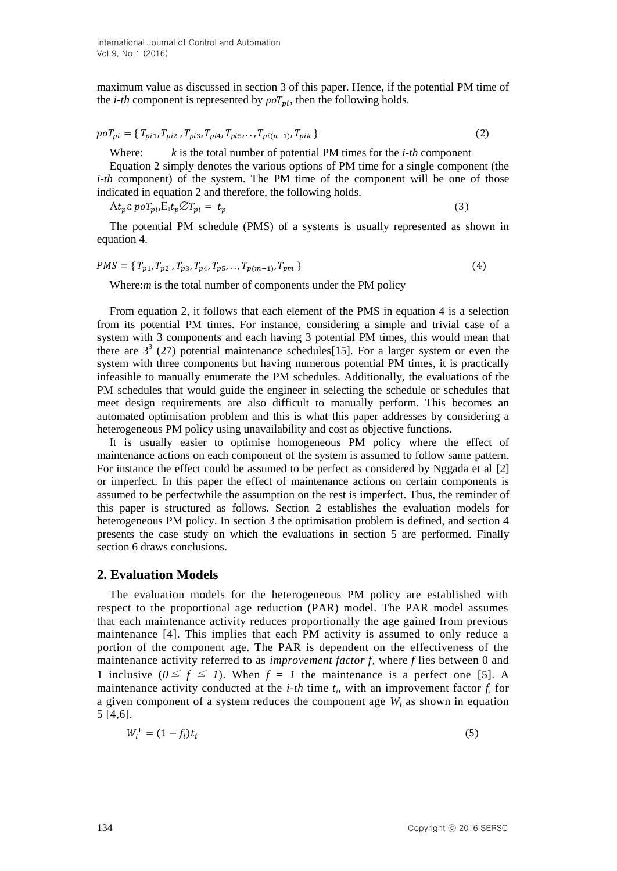maximum value as discussed in section 3 of this paper. Hence, if the potential PM time of the *i-th* component is represented by  $poT_{ni}$ , then the following holds.

$$
poT_{pi} = \{ T_{pi1}, T_{pi2}, T_{pi3}, T_{pi4}, T_{pi5}, \dots, T_{pi(n-1)}, T_{pik} \}
$$
 (2)

Where: *k* is the total number of potential PM times for the *i-th* component

Equation 2 simply denotes the various options of PM time for a single component (the *i-th* component) of the system. The PM time of the component will be one of those indicated in equation 2 and therefore, the following holds.

$$
At_p \varepsilon \, p \, o \, T_{pi} \cdot E_1 t_p \, \mathcal{O} \, T_{pi} = t_p \tag{3}
$$

The potential PM schedule (PMS) of a systems is usually represented as shown in equation 4.

$$
PMS = \{ T_{p1}, T_{p2}, T_{p3}, T_{p4}, T_{p5}, \dots, T_{p(m-1)}, T_{pm} \}
$$
\n(4)

Where:*m* is the total number of components under the PM policy

From equation 2, it follows that each element of the PMS in equation 4 is a selection from its potential PM times. For instance, considering a simple and trivial case of a system with 3 components and each having 3 potential PM times, this would mean that there are  $3<sup>3</sup>$  (27) potential maintenance schedules[15]. For a larger system or even the system with three components but having numerous potential PM times, it is practically infeasible to manually enumerate the PM schedules. Additionally, the evaluations of the PM schedules that would guide the engineer in selecting the schedule or schedules that meet design requirements are also difficult to manually perform. This becomes an automated optimisation problem and this is what this paper addresses by considering a heterogeneous PM policy using unavailability and cost as objective functions.

It is usually easier to optimise homogeneous PM policy where the effect of maintenance actions on each component of the system is assumed to follow same pattern. For instance the effect could be assumed to be perfect as considered by Nggada et al [2] or imperfect. In this paper the effect of maintenance actions on certain components is assumed to be perfectwhile the assumption on the rest is imperfect. Thus, the reminder of this paper is structured as follows. Section 2 establishes the evaluation models for heterogeneous PM policy. In section 3 the optimisation problem is defined, and section 4 presents the case study on which the evaluations in section 5 are performed. Finally section 6 draws conclusions.

# **2. Evaluation Models**

The evaluation models for the heterogeneous PM policy are established with respect to the proportional age reduction (PAR) model. The PAR model assumes that each maintenance activity reduces proportionally the age gained from previous maintenance [4]. This implies that each PM activity is assumed to only reduce a portion of the component age. The PAR is dependent on the effectiveness of the maintenance activity referred to as *improvement factor f*, where *f* lies between 0 and 1 inclusive  $(0 \le f \le 1)$ . When  $f = 1$  the maintenance is a perfect one [5]. A maintenance activity conducted at the *i-th* time  $t_i$ , with an improvement factor  $f_i$  for a given component of a system reduces the component age *W<sup>i</sup>* as shown in equation 5 [4,6].

$$
W_t^+ = (1 - f_i)t_i
$$
 (5)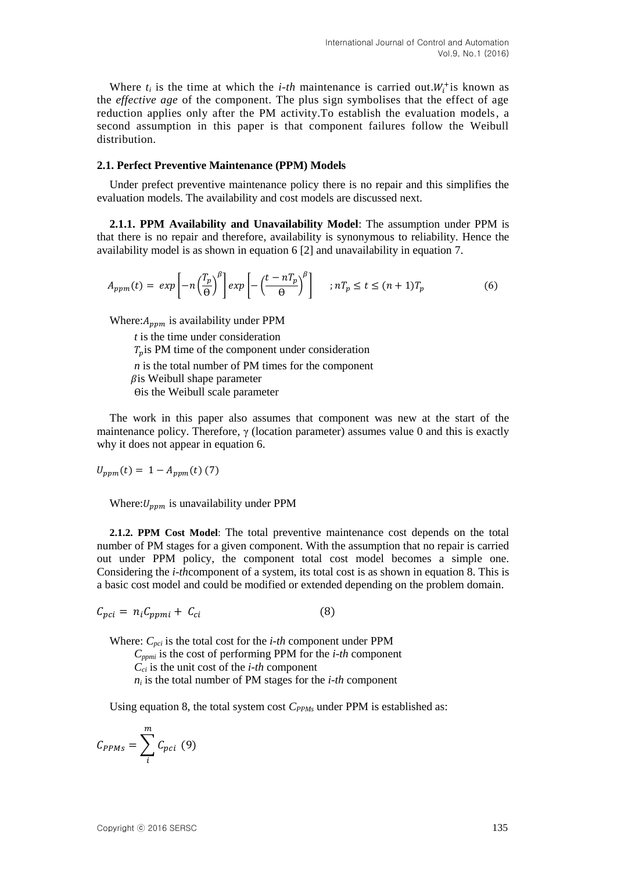Where  $t_i$  is the time at which the *i-th* maintenance is carried out.  $W_i^+$  is known as the *effective age* of the component. The plus sign symbolises that the effect of age reduction applies only after the PM activity.To establish the evaluation models, a second assumption in this paper is that component failures follow the Weibull distribution.

#### **2.1. Perfect Preventive Maintenance (PPM) Models**

Under prefect preventive maintenance policy there is no repair and this simplifies the evaluation models. The availability and cost models are discussed next.

**2.1.1. PPM Availability and Unavailability Model**: The assumption under PPM is that there is no repair and therefore, availability is synonymous to reliability. Hence the availability model is as shown in equation 6 [2] and unavailability in equation 7.

$$
A_{ppm}(t) = exp\left[-n\left(\frac{T_p}{\Theta}\right)^{\beta}\right] exp\left[-\left(\frac{t - nT_p}{\Theta}\right)^{\beta}\right] \quad ; nT_p \le t \le (n+1)T_p \tag{6}
$$

Where:  $A_{vvm}$  is availability under PPM

*t* is the time under consideration  $T_n$  is PM time of the component under consideration *n* is the total number of PM times for the component  $\beta$ is Weibull shape parameter Ѳis the Weibull scale parameter

The work in this paper also assumes that component was new at the start of the maintenance policy. Therefore,  $\gamma$  (location parameter) assumes value 0 and this is exactly why it does not appear in equation 6.

 $U_{ppm}(t) = 1 - A_{ppm}(t)$  (7)

Where:  $U_{nnm}$  is unavailability under PPM

**2.1.2. PPM Cost Model**: The total preventive maintenance cost depends on the total number of PM stages for a given component. With the assumption that no repair is carried out under PPM policy, the component total cost model becomes a simple one. Considering the *i-th*component of a system, its total cost is as shown in equation 8. This is a basic cost model and could be modified or extended depending on the problem domain.

$$
C_{pci} = n_i C_{ppmi} + C_{ci}
$$
 (8)

Where: *Cpci* is the total cost for the *i-th* component under PPM *Cppmi* is the cost of performing PPM for the *i-th* component *Cci* is the unit cost of the *i-th* component *ni* is the total number of PM stages for the *i-th* component

Using equation 8, the total system cost  $C_{PPMs}$  under PPM is established as:

$$
C_{PPMs} = \sum_{i}^{m} C_{pci} (9)
$$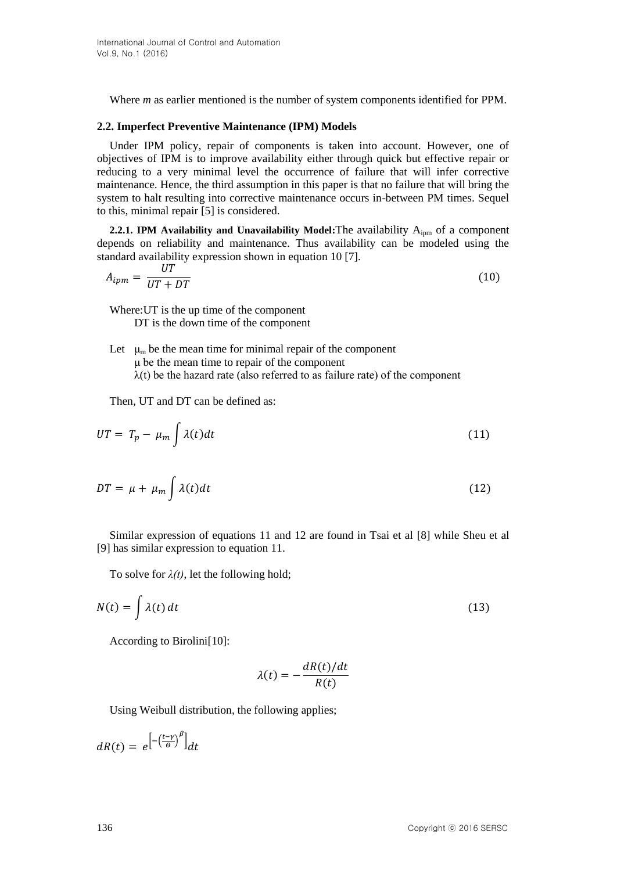Where *m* as earlier mentioned is the number of system components identified for PPM.

#### **2.2. Imperfect Preventive Maintenance (IPM) Models**

Under IPM policy, repair of components is taken into account. However, one of objectives of IPM is to improve availability either through quick but effective repair or reducing to a very minimal level the occurrence of failure that will infer corrective maintenance. Hence, the third assumption in this paper is that no failure that will bring the system to halt resulting into corrective maintenance occurs in-between PM times. Sequel to this, minimal repair [5] is considered.

**2.2.1. IPM Availability and Unavailability Model: The availability A<sub>ipm</sub> of a component** depends on reliability and maintenance. Thus availability can be modeled using the standard availability expression shown in equation 10 [7].

$$
A_{ipm} = \frac{UT}{UT + DT} \tag{10}
$$

Where:UT is the up time of the component DT is the down time of the component

Let  $\mu_m$  be the mean time for minimal repair of the component μ be the mean time to repair of the component  $\lambda(t)$  be the hazard rate (also referred to as failure rate) of the component

Then, UT and DT can be defined as:

$$
UT = T_p - \mu_m \int \lambda(t) dt \tag{11}
$$

$$
DT = \mu + \mu_m \int \lambda(t)dt \tag{12}
$$

Similar expression of equations 11 and 12 are found in Tsai et al [8] while Sheu et al [9] has similar expression to equation 11.

To solve for  $\lambda(t)$ , let the following hold;

$$
N(t) = \int \lambda(t) dt
$$
 (13)

According to Birolini[10]:

$$
\lambda(t) = -\frac{dR(t)/dt}{R(t)}
$$

Using Weibull distribution, the following applies;

$$
dR(t) = e^{-\left(\frac{t-\gamma}{\theta}\right)^{\beta}}\Big|_{dt}
$$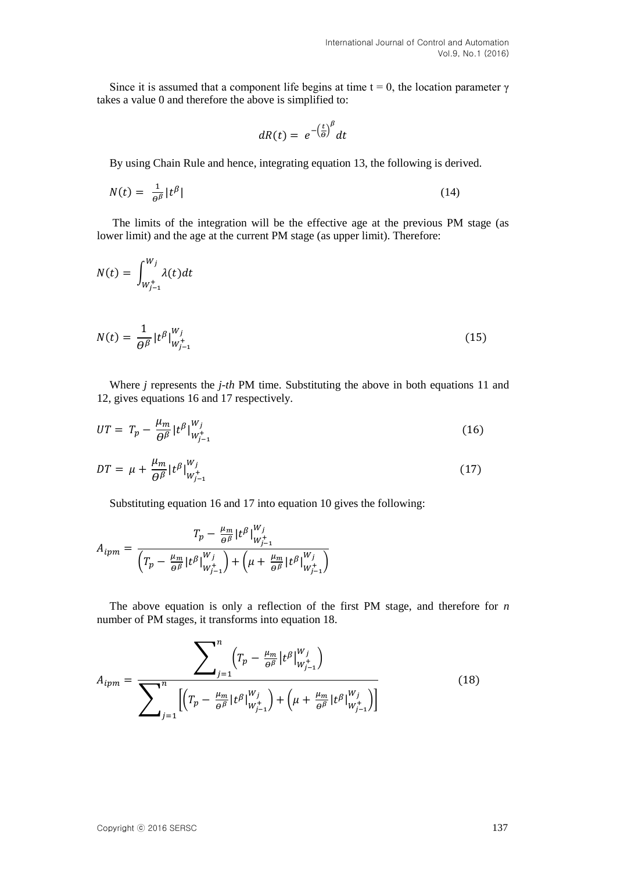Since it is assumed that a component life begins at time  $t = 0$ , the location parameter  $\gamma$ takes a value 0 and therefore the above is simplified to:

$$
dR(t) = e^{-\left(\frac{t}{\theta}\right)^{\beta}} dt
$$

By using Chain Rule and hence, integrating equation 13, the following is derived.

$$
N(t) = \frac{1}{\theta^{\beta}} |t^{\beta}| \tag{14}
$$

The limits of the integration will be the effective age at the previous PM stage (as lower limit) and the age at the current PM stage (as upper limit). Therefore:

$$
N(t) = \int_{W_{j-1}^+}^{W_j} \lambda(t) dt
$$

$$
N(t) = \frac{1}{\theta^{\beta}} |t^{\beta}|_{W_{j-1}^+}^{W_j}
$$
 (15)

Where *j* represents the *j-th* PM time. Substituting the above in both equations 11 and 12, gives equations 16 and 17 respectively.

$$
UT = T_p - \frac{\mu_m}{\theta^{\beta}} |t^{\beta}|_{W_{j-1}^+}^{W_j}
$$
 (16)

$$
DT = \mu + \frac{\mu_m}{\theta^{\beta}} |t^{\beta}|_{W_{j-1}^+}^{W_j}
$$
 (17)

Substituting equation 16 and 17 into equation 10 gives the following:

$$
A_{ipm} = \frac{T_p - \frac{\mu_m}{\theta^{\beta}} |t^{\beta}|_{W_{j-1}^+}^{W_j}}{\left(T_p - \frac{\mu_m}{\theta^{\beta}} |t^{\beta}|_{W_{j-1}^+}^{W_j}\right) + \left(\mu + \frac{\mu_m}{\theta^{\beta}} |t^{\beta}|_{W_{j-1}^+}^{W_j}\right)}
$$

The above equation is only a reflection of the first PM stage, and therefore for *n* number of PM stages, it transforms into equation 18.

$$
A_{ipm} = \frac{\sum_{j=1}^{n} \left( T_p - \frac{\mu_m}{\theta^{\beta}} \left| t^{\beta} \right|_{W_{j-1}^+}^{W_j} \right)}{\sum_{j=1}^{n} \left[ \left( T_p - \frac{\mu_m}{\theta^{\beta}} \left| t^{\beta} \right|_{W_{j-1}^+}^{W_j} \right) + \left( \mu + \frac{\mu_m}{\theta^{\beta}} \left| t^{\beta} \right|_{W_{j-1}^+}^{W_j} \right) \right]}
$$
(18)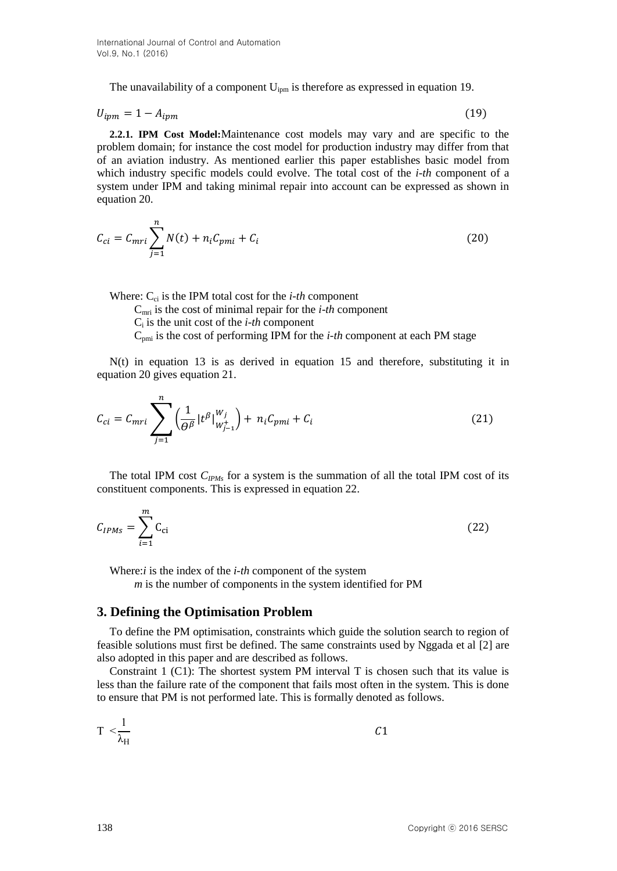The unavailability of a component  $U_{\text{ipm}}$  is therefore as expressed in equation 19.

$$
U_{ipm} = 1 - A_{ipm} \tag{19}
$$

**2.2.1. IPM Cost Model:**Maintenance cost models may vary and are specific to the problem domain; for instance the cost model for production industry may differ from that of an aviation industry. As mentioned earlier this paper establishes basic model from which industry specific models could evolve. The total cost of the *i-th* component of a system under IPM and taking minimal repair into account can be expressed as shown in equation 20.

$$
C_{ci} = C_{mri} \sum_{j=1}^{n} N(t) + n_i C_{pmi} + C_i
$$
 (20)

Where:  $C_{ci}$  is the IPM total cost for the *i-th* component

Cmri is the cost of minimal repair for the *i-th* component

 $C_i$  is the unit cost of the *i-th* component

 $C_{\text{pmi}}$  is the cost of performing IPM for the *i-th* component at each PM stage

N(t) in equation 13 is as derived in equation 15 and therefore, substituting it in equation 20 gives equation 21.

$$
C_{ci} = C_{mri} \sum_{j=1}^{n} \left( \frac{1}{\theta^{\beta}} |t^{\beta}|_{W_{j-1}^{+}}^{W_j} \right) + n_i C_{pmi} + C_i
$$
 (21)

The total IPM cost  $C_{IPMs}$  for a system is the summation of all the total IPM cost of its constituent components. This is expressed in equation 22.

$$
C_{IPMS} = \sum_{i=1}^{m} C_{ci} \tag{22}
$$

Where:*i* is the index of the *i-th* component of the system *m* is the number of components in the system identified for PM

### **3. Defining the Optimisation Problem**

To define the PM optimisation, constraints which guide the solution search to region of feasible solutions must first be defined. The same constraints used by Nggada et al [2] are also adopted in this paper and are described as follows.

Constraint 1 (C1): The shortest system PM interval T is chosen such that its value is less than the failure rate of the component that fails most often in the system. This is done to ensure that PM is not performed late. This is formally denoted as follows.

$$
T < \frac{1}{\lambda_H}
$$
 C1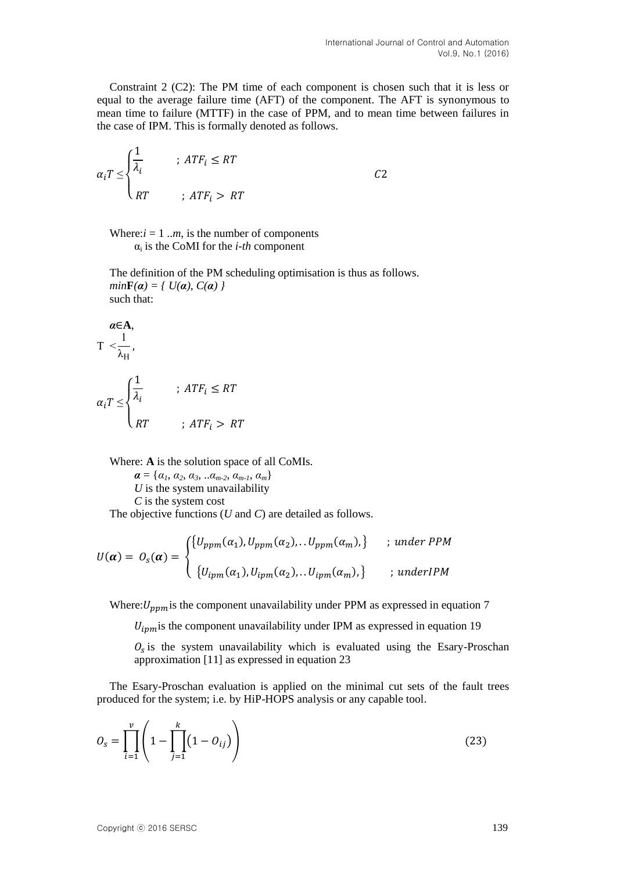Constraint 2 (C2): The PM time of each component is chosen such that it is less or equal to the average failure time (AFT) of the component. The AFT is synonymous to mean time to failure (MTTF) in the case of PPM, and to mean time between failures in the case of IPM. This is formally denoted as follows.

$$
\alpha_i T \leq \begin{cases} \frac{1}{\lambda_i} & \text{if } ATF_i \leq RT \\ RT & \text{if } ATF_i > RT \end{cases} \tag{C2}
$$

Where: $i = 1 \ldots m$ , is the number of components  $\alpha_i$  is the CoMI for the *i-th* component

The definition of the PM scheduling optimisation is thus as follows. *min***F**( $\alpha$ ) = {  $U(\alpha)$ ,  $C(\alpha)$  } such that:

$$
\alpha \in A,
$$
  
\n
$$
T < \frac{1}{\lambda_{H}},
$$
  
\n
$$
\alpha_{i}T \leq \begin{cases} \frac{1}{\lambda_{i}} & ; ATF_{i} \leq RT \\ RT & ; ATF_{i} > RT \end{cases}
$$

Where: **A** is the solution space of all CoMIs.

 $a = \{a_1, a_2, a_3, \ldots, a_{m-2}, a_{m-1}, a_m\}$ *U* is the system unavailability *C* is the system cost

The objective functions (*U* and *C*) are detailed as follows.

$$
U(\boldsymbol{\alpha}) = O_{S}(\boldsymbol{\alpha}) = \begin{cases} \{U_{ppm}(\alpha_1), U_{ppm}(\alpha_2), \ldots U_{ppm}(\alpha_m), \} & ; \text{ under PPM} \\ \{U_{ipm}(\alpha_1), U_{ipm}(\alpha_2), \ldots U_{ipm}(\alpha_m), \} & ; \text{ underIPM} \end{cases}
$$

Where:  $U_{nnm}$  is the component unavailability under PPM as expressed in equation 7

 $U_{ipm}$  is the component unavailability under IPM as expressed in equation 19

 $O_s$  is the system unavailability which is evaluated using the Esary-Proschan approximation [11] as expressed in equation 23

The Esary-Proschan evaluation is applied on the minimal cut sets of the fault trees produced for the system; i.e. by HiP-HOPS analysis or any capable tool.

$$
O_{s} = \prod_{i=1}^{v} \left( 1 - \prod_{j=1}^{k} (1 - O_{ij}) \right)
$$
 (23)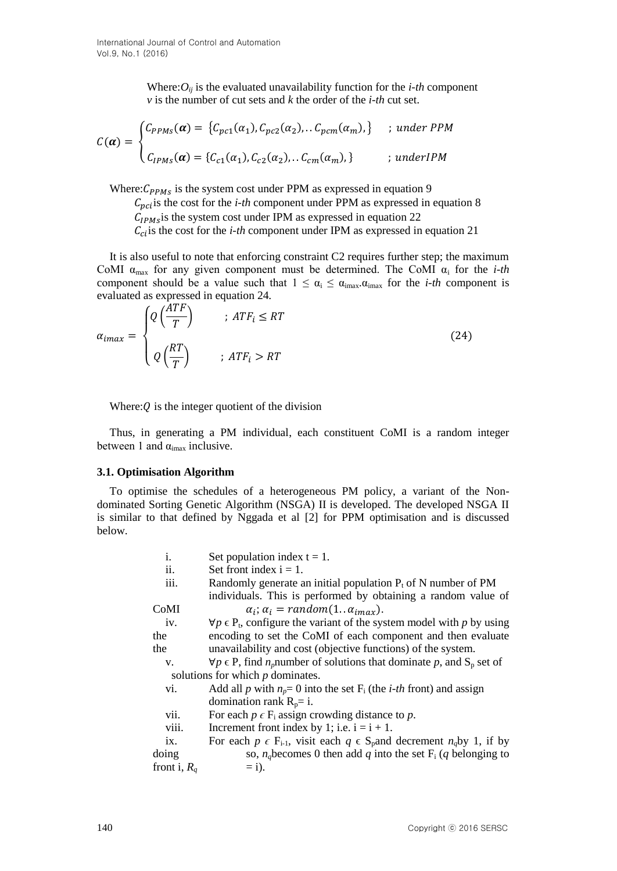Where: $O_{ij}$  is the evaluated unavailability function for the *i-th* component *v* is the number of cut sets and *k* the order of the *i-th* cut set.

$$
C(\boldsymbol{\alpha}) = \begin{cases} C_{PPMs}(\boldsymbol{\alpha}) = \{C_{pc1}(\alpha_1), C_{pc2}(\alpha_2), \dots C_{pcm}(\alpha_m), \} & ; \text{ under } PPM \\ \dots & \\ C_{IPMs}(\boldsymbol{\alpha}) = \{C_{c1}(\alpha_1), C_{c2}(\alpha_2), \dots C_{cm}(\alpha_m), \} & ; \text{ under} IBM \end{cases}
$$

Where:  $C_{PPMS}$  is the system cost under PPM as expressed in equation 9

 $C_{pci}$  is the cost for the *i-th* component under PPM as expressed in equation 8  $C_{IPMS}$  is the system cost under IPM as expressed in equation 22  $C_{ci}$  is the cost for the *i-th* component under IPM as expressed in equation 21

It is also useful to note that enforcing constraint C2 requires further step; the maximum CoMI  $\alpha_{\text{max}}$  for any given component must be determined. The CoMI  $\alpha_i$  for the *i-th* component should be a value such that  $1 \leq \alpha_i \leq \alpha_{i_{\text{max}}} \cdot \alpha_{i_{\text{max}}}$  for the *i-th* component is evaluated as expressed in equation 24.

$$
\alpha_{imax} = \begin{cases} Q\left(\frac{ATF}{T}\right) & ; ATF_i \le RT \\ Q\left(\frac{RT}{T}\right) & ; ATF_i > RT \end{cases}
$$
 (24)

Where:  $Q$  is the integer quotient of the division

Thus, in generating a PM individual, each constituent CoMI is a random integer between 1 and  $\alpha_{\text{imax}}$  inclusive.

### **3.1. Optimisation Algorithm**

To optimise the schedules of a heterogeneous PM policy, a variant of the Nondominated Sorting Genetic Algorithm (NSGA) II is developed. The developed NSGA II is similar to that defined by Nggada et al [2] for PPM optimisation and is discussed below.

| i.                                 | Set population index $t = 1$ .                                                                                |  |  |  |
|------------------------------------|---------------------------------------------------------------------------------------------------------------|--|--|--|
| ii.                                | Set front index $i = 1$ .                                                                                     |  |  |  |
| iii.                               | Randomly generate an initial population $P_t$ of N number of PM                                               |  |  |  |
|                                    | individuals. This is performed by obtaining a random value of                                                 |  |  |  |
| CoMI                               | $\alpha_i$ ; $\alpha_i$ = random(1 $\alpha_{imag}$ ).                                                         |  |  |  |
| iv.                                | $\forall p \in P_t$ , configure the variant of the system model with p by using                               |  |  |  |
| the                                | encoding to set the CoMI of each component and then evaluate                                                  |  |  |  |
| the                                | unavailability and cost (objective functions) of the system.                                                  |  |  |  |
| V.                                 | $\forall p \in P$ , find <i>n</i> <sub>p</sub> number of solutions that dominate p, and S <sub>p</sub> set of |  |  |  |
| solutions for which $p$ dominates. |                                                                                                               |  |  |  |
| VI.                                | Add all p with $n_p = 0$ into the set $F_i$ (the <i>i-th</i> front) and assign                                |  |  |  |
|                                    | domination rank $R_p = i$ .                                                                                   |  |  |  |
| vii.                               | For each $p \in F_i$ assign crowding distance to p.                                                           |  |  |  |
| viii.                              | Increment front index by 1; i.e. $i = i + 1$ .                                                                |  |  |  |
| ix.                                | For each $p \in F_{i-1}$ , visit each $q \in S_p$ and decrement $n_q$ by 1, if by                             |  |  |  |
| doing                              | so, $n_a$ becomes 0 then add q into the set $F_i$ (q belonging to                                             |  |  |  |
| front i, $R_q$                     | $=$ i).                                                                                                       |  |  |  |
|                                    |                                                                                                               |  |  |  |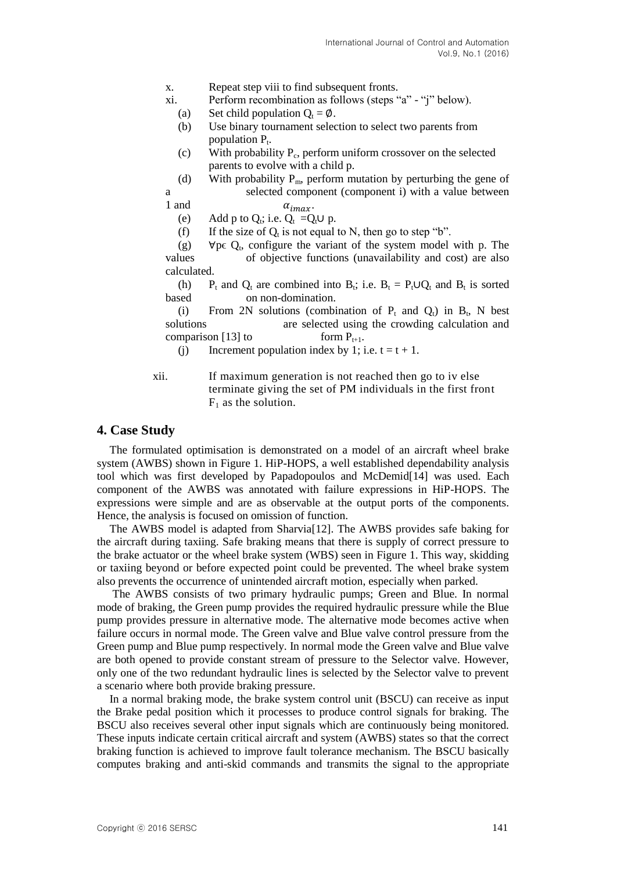- x. Repeat step viii to find subsequent fronts.
- xi. Perform recombination as follows (steps "a" "j" below).
	- (a) Set child population  $Q_t = \emptyset$ .
	- (b) Use binary tournament selection to select two parents from population  $P_t$ .
	- $(c)$  With probability  $P_c$ , perform uniform crossover on the selected parents to evolve with a child p.
- (d) With probability  $P_m$ , perform mutation by perturbing the gene of a selected component (component i) with a value between

- 1 and  $\alpha_{i max}$ .
	- (e) Add p to  $Q_t$ ; i.e.  $Q_t = Q_t \cup p$ .
	- (f) If the size of  $Q_t$  is not equal to N, then go to step "b".

(g)  $\forall p \in Q_t$ , configure the variant of the system model with p. The values of objective functions (unavailability and cost) are also calculated.

(h) P<sub>t</sub> and Q<sub>t</sub> are combined into B<sub>t</sub>; i.e. B<sub>t</sub> = P<sub>t</sub>∪Q<sub>t</sub> and B<sub>t</sub> is sorted based on non-domination.

(i) From 2N solutions (combination of  $P_t$  and  $Q_t$ ) in  $B_t$ , N best solutions are selected using the crowding calculation and comparison [13] to form  $P_{t+1}$ .

(i) Increment population index by 1; i.e.  $t = t + 1$ .

xii. If maximum generation is not reached then go to iv else terminate giving the set of PM individuals in the first front  $F_1$  as the solution.

### **4. Case Study**

The formulated optimisation is demonstrated on a model of an aircraft wheel brake system (AWBS) shown in Figure 1. HiP-HOPS, a well established dependability analysis tool which was first developed by Papadopoulos and McDemid[14] was used. Each component of the AWBS was annotated with failure expressions in HiP-HOPS. The expressions were simple and are as observable at the output ports of the components. Hence, the analysis is focused on omission of function.

The AWBS model is adapted from Sharvia[12]. The AWBS provides safe baking for the aircraft during taxiing. Safe braking means that there is supply of correct pressure to the brake actuator or the wheel brake system (WBS) seen in Figure 1. This way, skidding or taxiing beyond or before expected point could be prevented. The wheel brake system also prevents the occurrence of unintended aircraft motion, especially when parked.

The AWBS consists of two primary hydraulic pumps; Green and Blue. In normal mode of braking, the Green pump provides the required hydraulic pressure while the Blue pump provides pressure in alternative mode. The alternative mode becomes active when failure occurs in normal mode. The Green valve and Blue valve control pressure from the Green pump and Blue pump respectively. In normal mode the Green valve and Blue valve are both opened to provide constant stream of pressure to the Selector valve. However, only one of the two redundant hydraulic lines is selected by the Selector valve to prevent a scenario where both provide braking pressure.

In a normal braking mode, the brake system control unit (BSCU) can receive as input the Brake pedal position which it processes to produce control signals for braking. The BSCU also receives several other input signals which are continuously being monitored. These inputs indicate certain critical aircraft and system (AWBS) states so that the correct braking function is achieved to improve fault tolerance mechanism. The BSCU basically computes braking and anti-skid commands and transmits the signal to the appropriate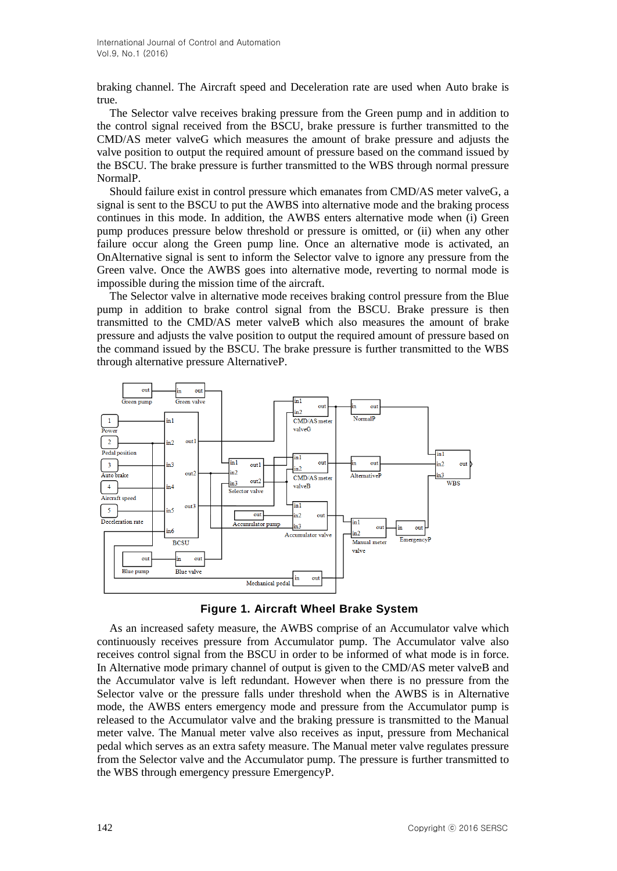braking channel. The Aircraft speed and Deceleration rate are used when Auto brake is true.

The Selector valve receives braking pressure from the Green pump and in addition to the control signal received from the BSCU, brake pressure is further transmitted to the CMD/AS meter valveG which measures the amount of brake pressure and adjusts the valve position to output the required amount of pressure based on the command issued by the BSCU. The brake pressure is further transmitted to the WBS through normal pressure NormalP.

Should failure exist in control pressure which emanates from CMD/AS meter valveG, a signal is sent to the BSCU to put the AWBS into alternative mode and the braking process continues in this mode. In addition, the AWBS enters alternative mode when (i) Green pump produces pressure below threshold or pressure is omitted, or (ii) when any other failure occur along the Green pump line. Once an alternative mode is activated, an OnAlternative signal is sent to inform the Selector valve to ignore any pressure from the Green valve. Once the AWBS goes into alternative mode, reverting to normal mode is impossible during the mission time of the aircraft.

The Selector valve in alternative mode receives braking control pressure from the Blue pump in addition to brake control signal from the BSCU. Brake pressure is then transmitted to the CMD/AS meter valveB which also measures the amount of brake pressure and adjusts the valve position to output the required amount of pressure based on the command issued by the BSCU. The brake pressure is further transmitted to the WBS through alternative pressure AlternativeP.



**Figure 1. Aircraft Wheel Brake System**

As an increased safety measure, the AWBS comprise of an Accumulator valve which continuously receives pressure from Accumulator pump. The Accumulator valve also receives control signal from the BSCU in order to be informed of what mode is in force. In Alternative mode primary channel of output is given to the CMD/AS meter valveB and the Accumulator valve is left redundant. However when there is no pressure from the Selector valve or the pressure falls under threshold when the AWBS is in Alternative mode, the AWBS enters emergency mode and pressure from the Accumulator pump is released to the Accumulator valve and the braking pressure is transmitted to the Manual meter valve. The Manual meter valve also receives as input, pressure from Mechanical pedal which serves as an extra safety measure. The Manual meter valve regulates pressure from the Selector valve and the Accumulator pump. The pressure is further transmitted to the WBS through emergency pressure EmergencyP.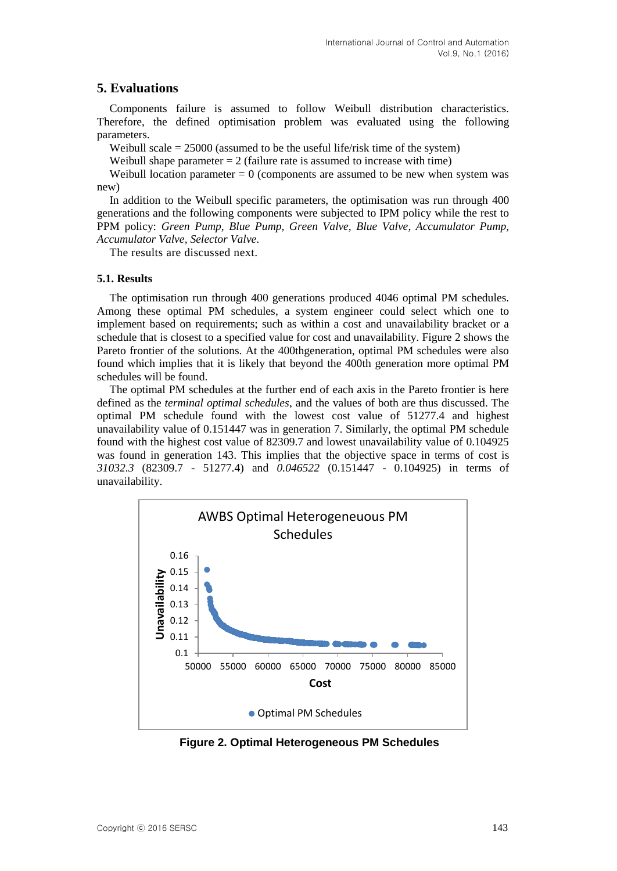# **5. Evaluations**

Components failure is assumed to follow Weibull distribution characteristics. Therefore, the defined optimisation problem was evaluated using the following parameters.

Weibull scale  $= 25000$  (assumed to be the useful life/risk time of the system)

Weibull shape parameter  $= 2$  (failure rate is assumed to increase with time)

Weibull location parameter  $= 0$  (components are assumed to be new when system was new)

In addition to the Weibull specific parameters, the optimisation was run through 400 generations and the following components were subjected to IPM policy while the rest to PPM policy: *Green Pump, Blue Pump, Green Valve, Blue Valve, Accumulator Pump, Accumulator Valve, Selector Valve*.

The results are discussed next.

### **5.1. Results**

The optimisation run through 400 generations produced 4046 optimal PM schedules. Among these optimal PM schedules, a system engineer could select which one to implement based on requirements; such as within a cost and unavailability bracket or a schedule that is closest to a specified value for cost and unavailability. Figure 2 shows the Pareto frontier of the solutions. At the 400thgeneration, optimal PM schedules were also found which implies that it is likely that beyond the 400th generation more optimal PM schedules will be found.

The optimal PM schedules at the further end of each axis in the Pareto frontier is here defined as the *terminal optimal schedules*, and the values of both are thus discussed. The optimal PM schedule found with the lowest cost value of 51277.4 and highest unavailability value of 0.151447 was in generation 7. Similarly, the optimal PM schedule found with the highest cost value of 82309.7 and lowest unavailability value of 0.104925 was found in generation 143. This implies that the objective space in terms of cost is *31032.3* (82309.7 - 51277.4) and *0.046522* (0.151447 - 0.104925) in terms of unavailability.



**Figure 2. Optimal Heterogeneous PM Schedules**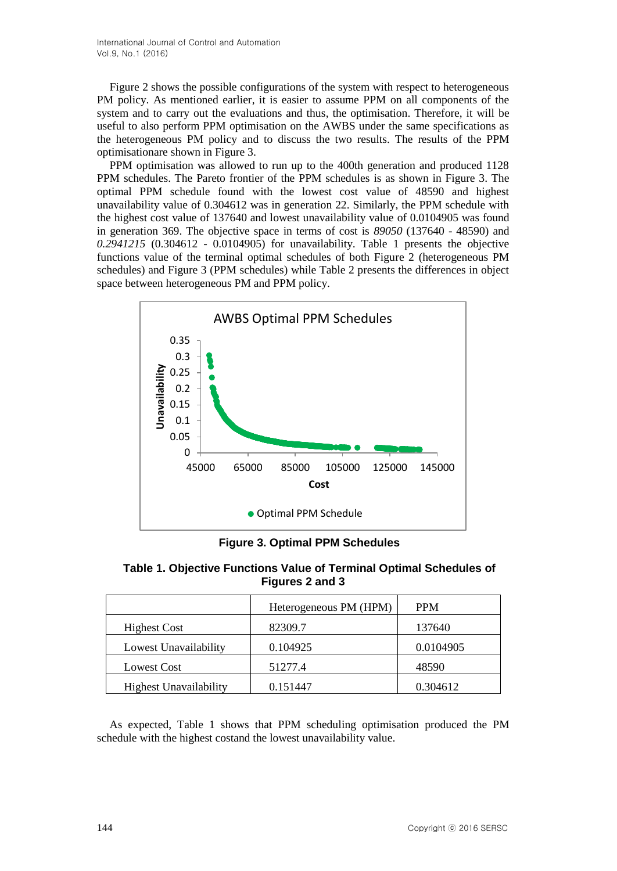International Journal of Control and Automation Vol.9, No.1 (2016)

Figure 2 shows the possible configurations of the system with respect to heterogeneous PM policy. As mentioned earlier, it is easier to assume PPM on all components of the system and to carry out the evaluations and thus, the optimisation. Therefore, it will be useful to also perform PPM optimisation on the AWBS under the same specifications as the heterogeneous PM policy and to discuss the two results. The results of the PPM optimisationare shown in Figure 3.

PPM optimisation was allowed to run up to the 400th generation and produced 1128 PPM schedules. The Pareto frontier of the PPM schedules is as shown in Figure 3. The optimal PPM schedule found with the lowest cost value of 48590 and highest unavailability value of 0.304612 was in generation 22. Similarly, the PPM schedule with the highest cost value of 137640 and lowest unavailability value of 0.0104905 was found in generation 369. The objective space in terms of cost is *89050* (137640 - 48590) and *0.2941215* (0.304612 - 0.0104905) for unavailability. Table 1 presents the objective functions value of the terminal optimal schedules of both Figure 2 (heterogeneous PM schedules) and Figure 3 (PPM schedules) while Table 2 presents the differences in object space between heterogeneous PM and PPM policy.



**Figure 3. Optimal PPM Schedules**

**Table 1. Objective Functions Value of Terminal Optimal Schedules of Figures 2 and 3**

|                               | Heterogeneous PM (HPM) | <b>PPM</b> |
|-------------------------------|------------------------|------------|
| <b>Highest Cost</b>           | 82309.7                | 137640     |
| Lowest Unavailability         | 0.104925               | 0.0104905  |
| <b>Lowest Cost</b>            | 51277.4                | 48590      |
| <b>Highest Unavailability</b> | 0.151447               | 0.304612   |

As expected, Table 1 shows that PPM scheduling optimisation produced the PM schedule with the highest costand the lowest unavailability value.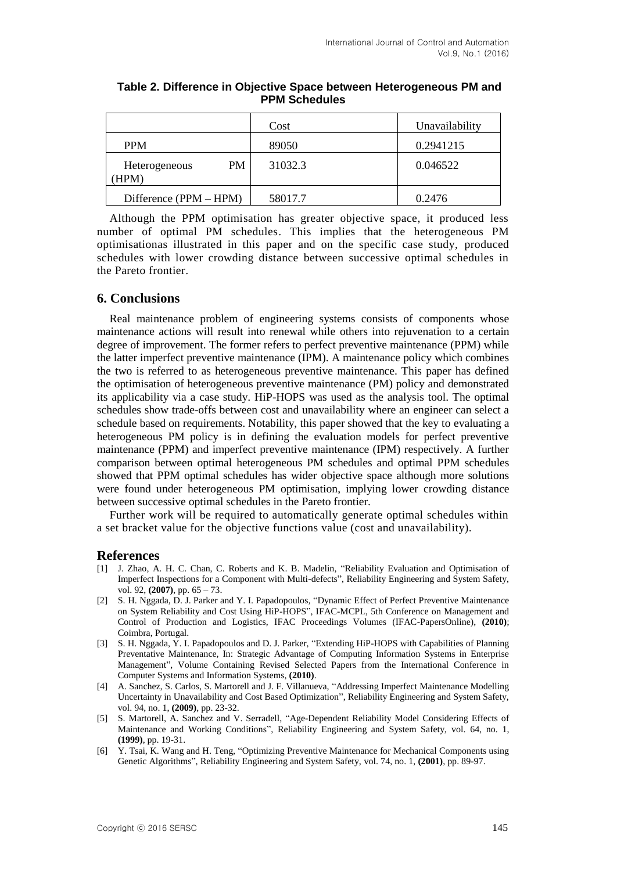|                              | Cost    | Unavailability |
|------------------------------|---------|----------------|
| <b>PPM</b>                   | 89050   | 0.2941215      |
| PM.<br>Heterogeneous<br>HPM) | 31032.3 | 0.046522       |
| Difference (PPM – HPM)       | 58017.7 | 0.2476         |

**Table 2. Difference in Objective Space between Heterogeneous PM and PPM Schedules**

Although the PPM optimisation has greater objective space, it produced less number of optimal PM schedules. This implies that the heterogeneous PM optimisationas illustrated in this paper and on the specific case study, produced schedules with lower crowding distance between successive optimal schedules in the Pareto frontier.

# **6. Conclusions**

Real maintenance problem of engineering systems consists of components whose maintenance actions will result into renewal while others into rejuvenation to a certain degree of improvement. The former refers to perfect preventive maintenance (PPM) while the latter imperfect preventive maintenance (IPM). A maintenance policy which combines the two is referred to as heterogeneous preventive maintenance. This paper has defined the optimisation of heterogeneous preventive maintenance (PM) policy and demonstrated its applicability via a case study. HiP-HOPS was used as the analysis tool. The optimal schedules show trade-offs between cost and unavailability where an engineer can select a schedule based on requirements. Notability, this paper showed that the key to evaluating a heterogeneous PM policy is in defining the evaluation models for perfect preventive maintenance (PPM) and imperfect preventive maintenance (IPM) respectively. A further comparison between optimal heterogeneous PM schedules and optimal PPM schedules showed that PPM optimal schedules has wider objective space although more solutions were found under heterogeneous PM optimisation, implying lower crowding distance between successive optimal schedules in the Pareto frontier.

Further work will be required to automatically generate optimal schedules within a set bracket value for the objective functions value (cost and unavailability).

### **References**

- [1] J. Zhao, A. H. C. Chan, C. Roberts and K. B. Madelin, "Reliability Evaluation and Optimisation of Imperfect Inspections for a Component with Multi-defects", Reliability Engineering and System Safety, vol. 92, **(2007)**, pp. 65 – 73.
- [2] S. H. Nggada, D. J. Parker and Y. I. Papadopoulos, "Dynamic Effect of Perfect Preventive Maintenance on System Reliability and Cost Using HiP-HOPS", IFAC-MCPL, 5th Conference on Management and Control of Production and Logistics, IFAC Proceedings Volumes (IFAC-PapersOnline), **(2010)**; Coimbra, Portugal.
- [3] S. H. Nggada, Y. I. Papadopoulos and D. J. Parker, "Extending HiP-HOPS with Capabilities of Planning Preventative Maintenance, In: Strategic Advantage of Computing Information Systems in Enterprise Management", Volume Containing Revised Selected Papers from the International Conference in Computer Systems and Information Systems, **(2010)**.
- [4] A. Sanchez, S. Carlos, S. Martorell and J. F. Villanueva, "Addressing Imperfect Maintenance Modelling Uncertainty in Unavailability and Cost Based Optimization", Reliability Engineering and System Safety, vol. 94, no. 1, **(2009)**, pp. 23-32.
- [5] S. Martorell, A. Sanchez and V. Serradell, "Age-Dependent Reliability Model Considering Effects of Maintenance and Working Conditions", Reliability Engineering and System Safety, vol. 64, no. 1, **(1999)**, pp. 19-31.
- [6] Y. Tsai, K. Wang and H. Teng, "Optimizing Preventive Maintenance for Mechanical Components using Genetic Algorithms", Reliability Engineering and System Safety, vol. 74, no. 1, **(2001)**, pp. 89-97.